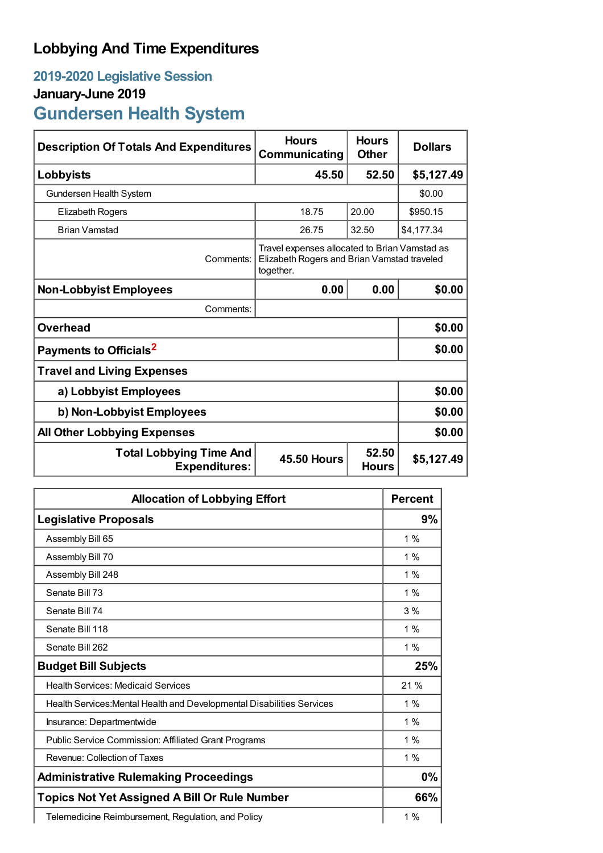## **Lobbying And Time Expenditures**

## **2019-2020 Legislative Session January-June 2019 Gundersen Health System**

| <b>Description Of Totals And Expenditures</b>          | <b>Hours</b><br>Communicating                                                                             | <b>Hours</b><br><b>Other</b> | <b>Dollars</b> |
|--------------------------------------------------------|-----------------------------------------------------------------------------------------------------------|------------------------------|----------------|
| Lobbyists                                              | 45.50                                                                                                     | 52.50                        | \$5,127.49     |
| Gundersen Health System                                |                                                                                                           |                              | \$0.00         |
| Elizabeth Rogers                                       | 18.75                                                                                                     | 20.00                        | \$950.15       |
| <b>Brian Vamstad</b>                                   | 26.75                                                                                                     | 32.50                        | \$4,177.34     |
| Comments:                                              | Travel expenses allocated to Brian Vamstad as<br>Elizabeth Rogers and Brian Vamstad traveled<br>together. |                              |                |
| <b>Non-Lobbyist Employees</b>                          | 0.00                                                                                                      | 0.00                         | \$0.00         |
| Comments:                                              |                                                                                                           |                              |                |
| <b>Overhead</b>                                        |                                                                                                           |                              | \$0.00         |
| Payments to Officials <sup>2</sup>                     |                                                                                                           |                              | \$0.00         |
| <b>Travel and Living Expenses</b>                      |                                                                                                           |                              |                |
| a) Lobbyist Employees                                  |                                                                                                           |                              | \$0.00         |
| b) Non-Lobbyist Employees                              |                                                                                                           |                              | \$0.00         |
| <b>All Other Lobbying Expenses</b>                     |                                                                                                           |                              | \$0.00         |
| <b>Total Lobbying Time And</b><br><b>Expenditures:</b> | <b>45.50 Hours</b>                                                                                        | 52.50<br><b>Hours</b>        | \$5,127.49     |

| <b>Allocation of Lobbying Effort</b>                                   |       |
|------------------------------------------------------------------------|-------|
| <b>Legislative Proposals</b>                                           | 9%    |
| Assembly Bill 65                                                       | 1%    |
| Assembly Bill 70                                                       | 1%    |
| Assembly Bill 248                                                      | 1%    |
| Senate Bill 73                                                         | 1%    |
| Senate Bill 74                                                         | 3%    |
| Senate Bill 118                                                        | $1\%$ |
| Senate Bill 262                                                        | $1\%$ |
| <b>Budget Bill Subjects</b>                                            | 25%   |
| <b>Health Services: Medicaid Services</b>                              | 21 %  |
| Health Services: Mental Health and Developmental Disabilities Services | 1%    |
| Insurance: Departmentwide                                              | 1%    |
| <b>Public Service Commission: Affiliated Grant Programs</b>            | 1%    |
| Revenue: Collection of Taxes                                           | 1%    |
| <b>Administrative Rulemaking Proceedings</b>                           | 0%    |
| <b>Topics Not Yet Assigned A Bill Or Rule Number</b>                   | 66%   |
| Telemedicine Reimbursement, Regulation, and Policy                     | $1\%$ |